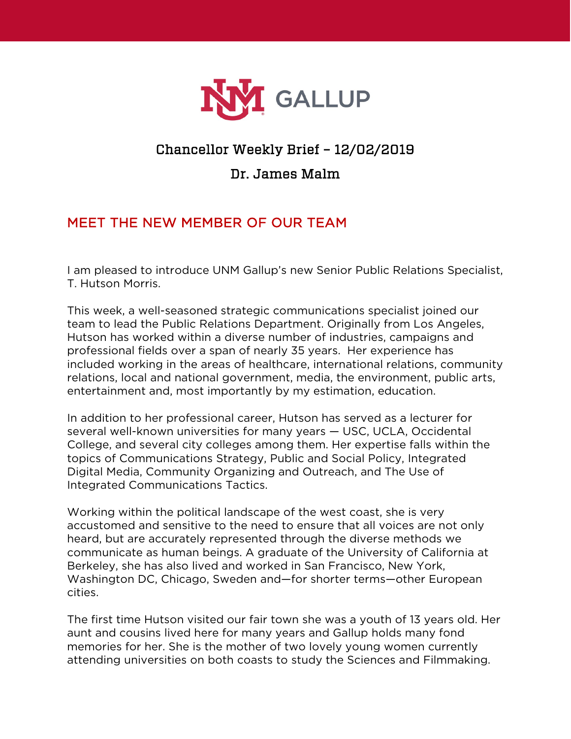

## Chancellor Weekly Brief – 12/02/2019

## Dr. James Malm

## MEET THE NEW MEMBER OF OUR TEAM

I am pleased to introduce UNM Gallup's new Senior Public Relations Specialist, T. Hutson Morris.

This week, a well-seasoned strategic communications specialist joined our team to lead the Public Relations Department. Originally from Los Angeles, Hutson has worked within a diverse number of industries, campaigns and professional fields over a span of nearly 35 years. Her experience has included working in the areas of healthcare, international relations, community relations, local and national government, media, the environment, public arts, entertainment and, most importantly by my estimation, education.

In addition to her professional career, Hutson has served as a lecturer for several well-known universities for many years — USC, UCLA, Occidental College, and several city colleges among them. Her expertise falls within the topics of Communications Strategy, Public and Social Policy, Integrated Digital Media, Community Organizing and Outreach, and The Use of Integrated Communications Tactics.

Working within the political landscape of the west coast, she is very accustomed and sensitive to the need to ensure that all voices are not only heard, but are accurately represented through the diverse methods we communicate as human beings. A graduate of the University of California at Berkeley, she has also lived and worked in San Francisco, New York, Washington DC, Chicago, Sweden and—for shorter terms—other European cities.

The first time Hutson visited our fair town she was a youth of 13 years old. Her aunt and cousins lived here for many years and Gallup holds many fond memories for her. She is the mother of two lovely young women currently attending universities on both coasts to study the Sciences and Filmmaking.